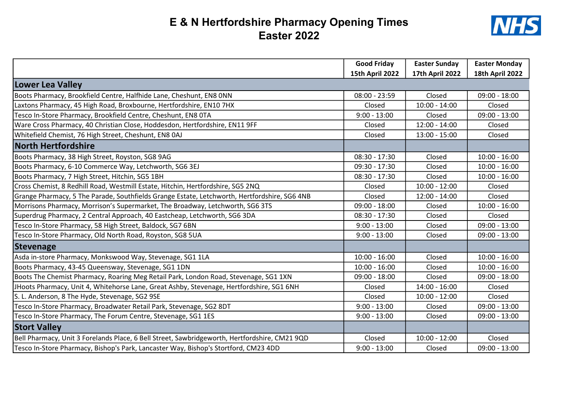## E & N Hertfordshire Pharmacy Opening Times Easter 2022



|                                                                                               | <b>Good Friday</b>     | <b>Easter Sunday</b>   | <b>Easter Monday</b>   |
|-----------------------------------------------------------------------------------------------|------------------------|------------------------|------------------------|
|                                                                                               | <b>15th April 2022</b> | <b>17th April 2022</b> | <b>18th April 2022</b> |
| Lower Lea Valley                                                                              |                        |                        |                        |
| Boots Pharmacy, Brookfield Centre, Halfhide Lane, Cheshunt, EN8 ONN                           | $08:00 - 23:59$        | Closed                 | $09:00 - 18:00$        |
| Laxtons Pharmacy, 45 High Road, Broxbourne, Hertfordshire, EN10 7HX                           | Closed                 | $10:00 - 14:00$        | Closed                 |
| Tesco In-Store Pharmacy, Brookfield Centre, Cheshunt, EN8 OTA                                 | $9:00 - 13:00$         | Closed                 | $09:00 - 13:00$        |
| Ware Cross Pharmacy, 40 Christian Close, Hoddesdon, Hertfordshire, EN11 9FF                   | Closed                 | $12:00 - 14:00$        | Closed                 |
| Whitefield Chemist, 76 High Street, Cheshunt, EN8 0AJ                                         | Closed                 | $13:00 - 15:00$        | Closed                 |
| <b>North Hertfordshire</b>                                                                    |                        |                        |                        |
| Boots Pharmacy, 38 High Street, Royston, SG8 9AG                                              | $08:30 - 17:30$        | Closed                 | $10:00 - 16:00$        |
| Boots Pharmacy, 6-10 Commerce Way, Letchworth, SG6 3EJ                                        | $09:30 - 17:30$        | Closed                 | $10:00 - 16:00$        |
| Boots Pharmacy, 7 High Street, Hitchin, SG5 1BH                                               | $08:30 - 17:30$        | Closed                 | $10:00 - 16:00$        |
| Cross Chemist, 8 Redhill Road, Westmill Estate, Hitchin, Hertfordshire, SG5 2NQ               | Closed                 | $10:00 - 12:00$        | Closed                 |
| Grange Pharmacy, 5 The Parade, Southfields Grange Estate, Letchworth, Hertfordshire, SG6 4NB  | Closed                 | $12:00 - 14:00$        | Closed                 |
| Morrisons Pharmacy, Morrison's Supermarket, The Broadway, Letchworth, SG6 3TS                 | $09:00 - 18:00$        | Closed                 | $10:00 - 16:00$        |
| Superdrug Pharmacy, 2 Central Approach, 40 Eastcheap, Letchworth, SG6 3DA                     | $08:30 - 17:30$        | Closed                 | Closed                 |
| Tesco In-Store Pharmacy, 58 High Street, Baldock, SG7 6BN                                     | $9:00 - 13:00$         | Closed                 | $09:00 - 13:00$        |
| Tesco In-Store Pharmacy, Old North Road, Royston, SG8 5UA                                     | $9:00 - 13:00$         | Closed                 | $09:00 - 13:00$        |
| Stevenage                                                                                     |                        |                        |                        |
| Asda in-store Pharmacy, Monkswood Way, Stevenage, SG1 1LA                                     | $10:00 - 16:00$        | Closed                 | $10:00 - 16:00$        |
| Boots Pharmacy, 43-45 Queensway, Stevenage, SG1 1DN                                           | $10:00 - 16:00$        | Closed                 | $10:00 - 16:00$        |
| Boots The Chemist Pharmacy, Roaring Meg Retail Park, London Road, Stevenage, SG1 1XN          | $09:00 - 18:00$        | Closed                 | $09:00 - 18:00$        |
| JHoots Pharmacy, Unit 4, Whitehorse Lane, Great Ashby, Stevenage, Hertfordshire, SG1 6NH      | Closed                 | $14:00 - 16:00$        | Closed                 |
| S. L. Anderson, 8 The Hyde, Stevenage, SG2 9SE                                                | Closed                 | $10:00 - 12:00$        | Closed                 |
| Tesco In-Store Pharmacy, Broadwater Retail Park, Stevenage, SG2 8DT                           | $9:00 - 13:00$         | Closed                 | $09:00 - 13:00$        |
| Tesco In-Store Pharmacy, The Forum Centre, Stevenage, SG1 1ES                                 | $9:00 - 13:00$         | Closed                 | $09:00 - 13:00$        |
| <b>Stort Valley</b>                                                                           |                        |                        |                        |
| Bell Pharmacy, Unit 3 Forelands Place, 6 Bell Street, Sawbridgeworth, Hertfordshire, CM21 9QD | Closed                 | $10:00 - 12:00$        | Closed                 |
| Tesco In-Store Pharmacy, Bishop's Park, Lancaster Way, Bishop's Stortford, CM23 4DD           | $9:00 - 13:00$         | Closed                 | $09:00 - 13:00$        |